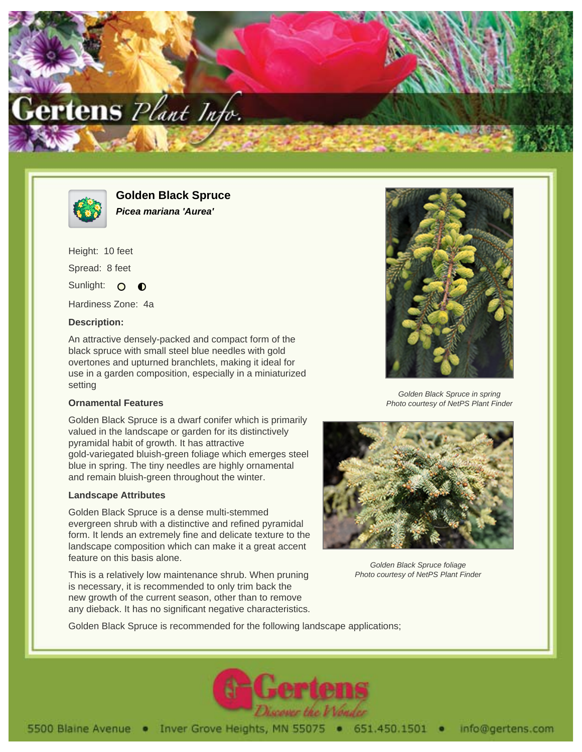



**Golden Black Spruce Picea mariana 'Aurea'**

Height: 10 feet Spread: 8 feet Sunlight: O  $\bullet$ 

Hardiness Zone: 4a

# **Description:**

An attractive densely-packed and compact form of the black spruce with small steel blue needles with gold overtones and upturned branchlets, making it ideal for use in a garden composition, especially in a miniaturized setting

#### **Ornamental Features**

Golden Black Spruce is a dwarf conifer which is primarily valued in the landscape or garden for its distinctively pyramidal habit of growth. It has attractive gold-variegated bluish-green foliage which emerges steel blue in spring. The tiny needles are highly ornamental and remain bluish-green throughout the winter.

# **Landscape Attributes**

Golden Black Spruce is a dense multi-stemmed evergreen shrub with a distinctive and refined pyramidal form. It lends an extremely fine and delicate texture to the landscape composition which can make it a great accent feature on this basis alone.

This is a relatively low maintenance shrub. When pruning is necessary, it is recommended to only trim back the new growth of the current season, other than to remove any dieback. It has no significant negative characteristics.



Golden Black Spruce in spring Photo courtesy of NetPS Plant Finder



Golden Black Spruce foliage Photo courtesy of NetPS Plant Finder

Golden Black Spruce is recommended for the following landscape applications;